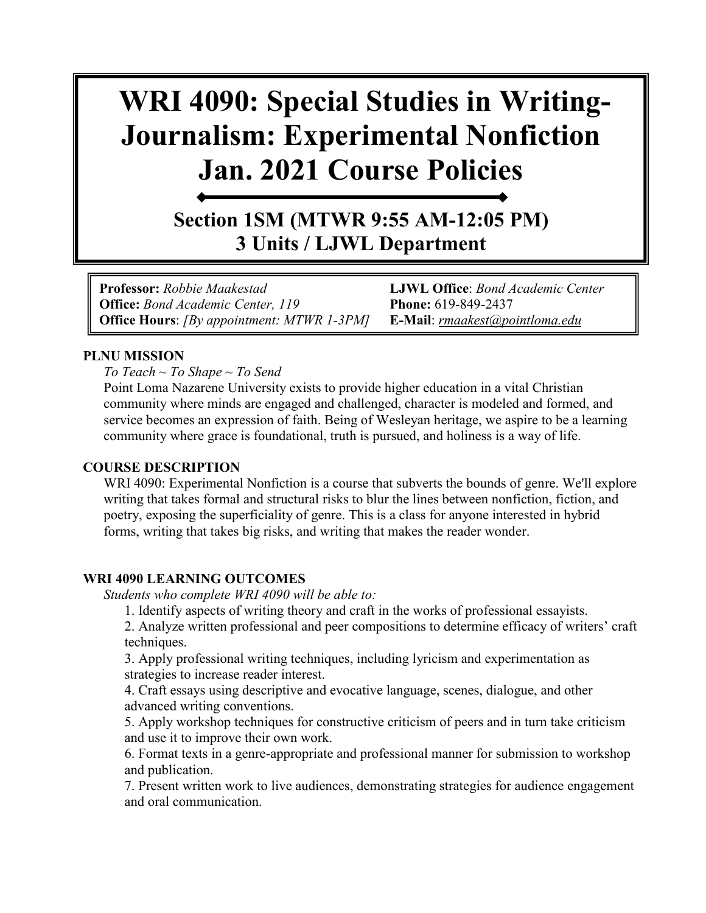# **WRI 4090: Special Studies in Writing-Journalism: Experimental Nonfiction Jan. 2021 Course Policies**

**Section 1SM (MTWR 9:55 AM-12:05 PM) 3 Units / LJWL Department**

**Professor:** *Robbie Maakestad* **LJWL Office**: *Bond Academic Center*  **Office:** *Bond Academic Center, 119* **Phone:** 619-849-2437 **Office Hours**: *[By appointment: MTWR 1-3PM]* **E-Mail**: *[rmaakest@pointloma.edu](mailto:rmaakest@pointloma.edu)*

#### **PLNU MISSION**

*To Teach ~ To Shape ~ To Send* 

Point Loma Nazarene University exists to provide higher education in a vital Christian community where minds are engaged and challenged, character is modeled and formed, and service becomes an expression of faith. Being of Wesleyan heritage, we aspire to be a learning community where grace is foundational, truth is pursued, and holiness is a way of life.

#### **COURSE DESCRIPTION**

WRI 4090: Experimental Nonfiction is a course that subverts the bounds of genre. We'll explore writing that takes formal and structural risks to blur the lines between nonfiction, fiction, and poetry, exposing the superficiality of genre. This is a class for anyone interested in hybrid forms, writing that takes big risks, and writing that makes the reader wonder.

#### **WRI 4090 LEARNING OUTCOMES**

*Students who complete WRI 4090 will be able to:* 

1. Identify aspects of writing theory and craft in the works of professional essayists.

2. Analyze written professional and peer compositions to determine efficacy of writers' craft techniques.

3. Apply professional writing techniques, including lyricism and experimentation as strategies to increase reader interest.

4. Craft essays using descriptive and evocative language, scenes, dialogue, and other advanced writing conventions.

5. Apply workshop techniques for constructive criticism of peers and in turn take criticism and use it to improve their own work.

6. Format texts in a genre-appropriate and professional manner for submission to workshop and publication.

7. Present written work to live audiences, demonstrating strategies for audience engagement and oral communication.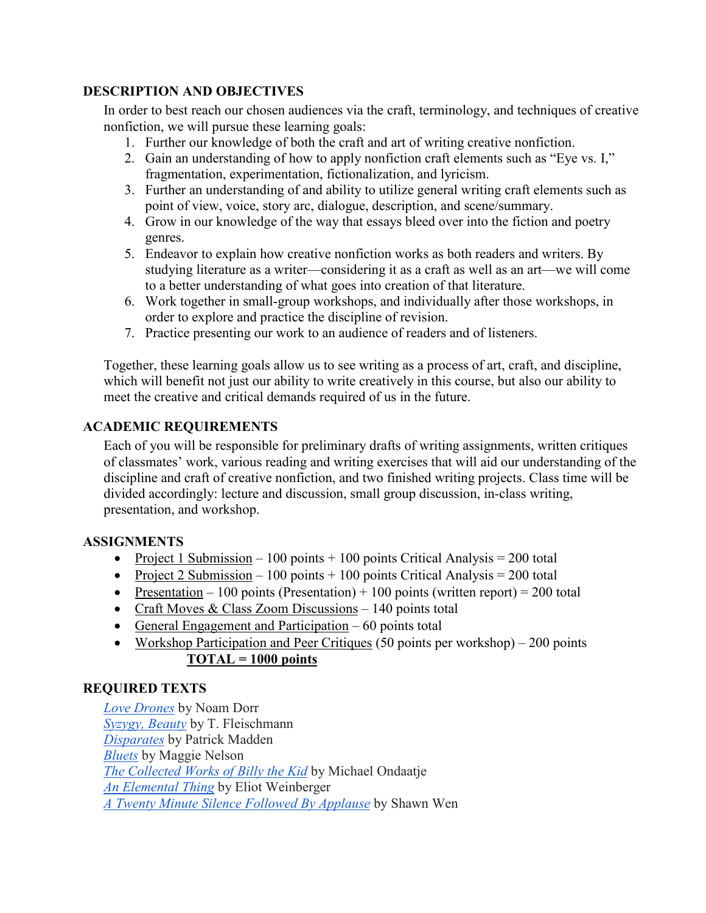#### **DESCRIPTION AND OBJECTIVES**

In order to best reach our chosen audiences via the craft, terminology, and techniques of creative nonfiction, we will pursue these learning goals:

- 1. Further our knowledge of both the craft and art of writing creative nonfiction.
- 2. Gain an understanding of how to apply nonfiction craft elements such as "Eye vs. I," fragmentation, experimentation, fictionalization, and lyricism.
- 3. Further an understanding of and ability to utilize general writing craft elements such as point of view, voice, story arc, dialogue, description, and scene/summary.
- 4. Grow in our knowledge of the way that essays bleed over into the fiction and poetry genres.
- 5. Endeavor to explain how creative nonfiction works as both readers and writers. By studying literature as a writer—considering it as a craft as well as an art—we will come to a better understanding of what goes into creation of that literature.
- 6. Work together in small-group workshops, and individually after those workshops, in order to explore and practice the discipline of revision.
- 7. Practice presenting our work to an audience of readers and of listeners.

Together, these learning goals allow us to see writing as a process of art, craft, and discipline, which will benefit not just our ability to write creatively in this course, but also our ability to meet the creative and critical demands required of us in the future.

## **ACADEMIC REQUIREMENTS**

Each of you will be responsible for preliminary drafts of writing assignments, written critiques of classmates' work, various reading and writing exercises that will aid our understanding of the discipline and craft of creative nonfiction, and two finished writing projects. Class time will be divided accordingly: lecture and discussion, small group discussion, in-class writing, presentation, and workshop.

#### **ASSIGNMENTS**

- Project 1 Submission 100 points + 100 points Critical Analysis = 200 total
- Project 2 Submission 100 points + 100 points Critical Analysis = 200 total
- Presentation 100 points (Presentation) + 100 points (written report) = 200 total
- Craft Moves & Class Zoom Discussions 140 points total
- General Engagement and Participation  $-60$  points total
- Workshop Participation and Peer Critiques (50 points per workshop) 200 points **TOTAL = 1000 points**

## **REQUIRED TEXTS**

*[Love Drones](https://bookshop.org/books/love-drones/9781946448385)* by Noam Dorr *[Syzygy, Beauty](https://bookshop.org/books/syzygy-beauty-an-essay/9781936747269)* by T. Fleischmann *[Disparates](https://bookshop.org/books/disparates-essays/9781496202444)* by Patrick Madden *[Bluets](https://bookshop.org/books/bluets-9781933517407/9781933517407)* by Maggie Nelson *[The Collected Works of Billy the Kid](https://bookshop.org/books/the-collected-works-of-billy-the-kid/9780679767862)* by Michael Ondaatje *[An Elemental Thing](https://bookshop.org/books/an-elemental-thing/9780811216944)* by Eliot Weinberger *[A Twenty Minute Silence Followed By Applause](https://bookshop.org/books/a-twenty-minute-silence-followed-by-applause/9781941411483)* by Shawn Wen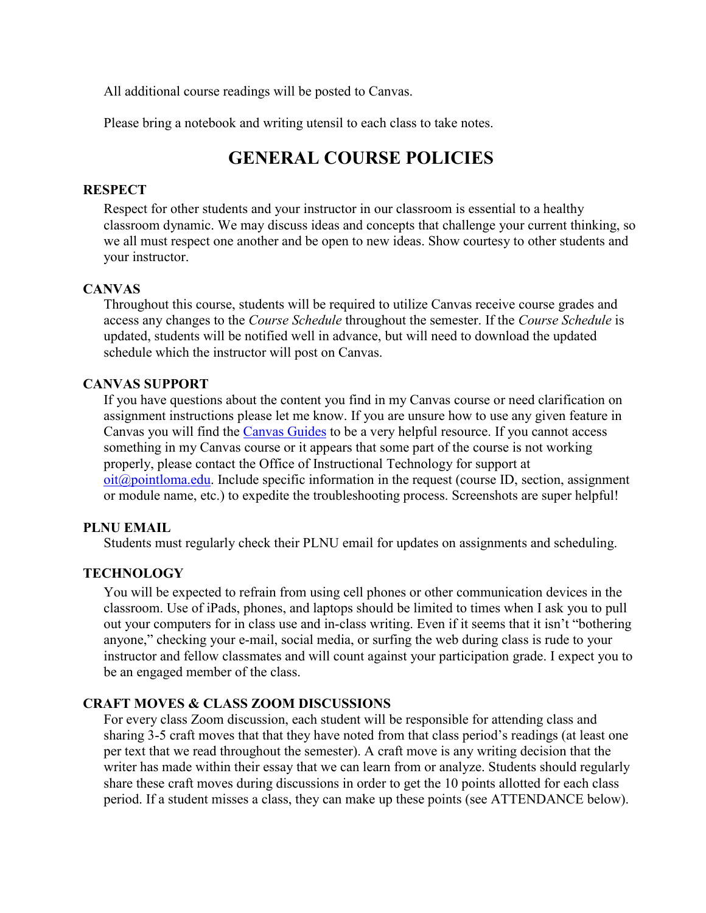All additional course readings will be posted to Canvas.

Please bring a notebook and writing utensil to each class to take notes.

# **GENERAL COURSE POLICIES**

#### **RESPECT**

Respect for other students and your instructor in our classroom is essential to a healthy classroom dynamic. We may discuss ideas and concepts that challenge your current thinking, so we all must respect one another and be open to new ideas. Show courtesy to other students and your instructor.

#### **CANVAS**

Throughout this course, students will be required to utilize Canvas receive course grades and access any changes to the *Course Schedule* throughout the semester. If the *Course Schedule* is updated, students will be notified well in advance, but will need to download the updated schedule which the instructor will post on Canvas.

#### **CANVAS SUPPORT**

If you have questions about the content you find in my Canvas course or need clarification on assignment instructions please let me know. If you are unsure how to use any given feature in Canvas you will find the [Canvas Guides](https://community.canvaslms.com/community/answers/guides/) to be a very helpful resource. If you cannot access something in my Canvas course or it appears that some part of the course is not working properly, please contact the Office of Instructional Technology for support at  $oit(\omega)$  pointloma.edu. Include specific information in the request (course ID, section, assignment or module name, etc.) to expedite the troubleshooting process. Screenshots are super helpful!

#### **PLNU EMAIL**

Students must regularly check their PLNU email for updates on assignments and scheduling.

#### **TECHNOLOGY**

You will be expected to refrain from using cell phones or other communication devices in the classroom. Use of iPads, phones, and laptops should be limited to times when I ask you to pull out your computers for in class use and in-class writing. Even if it seems that it isn't "bothering anyone," checking your e-mail, social media, or surfing the web during class is rude to your instructor and fellow classmates and will count against your participation grade. I expect you to be an engaged member of the class.

#### **CRAFT MOVES & CLASS ZOOM DISCUSSIONS**

For every class Zoom discussion, each student will be responsible for attending class and sharing 3-5 craft moves that that they have noted from that class period's readings (at least one per text that we read throughout the semester). A craft move is any writing decision that the writer has made within their essay that we can learn from or analyze. Students should regularly share these craft moves during discussions in order to get the 10 points allotted for each class period. If a student misses a class, they can make up these points (see ATTENDANCE below).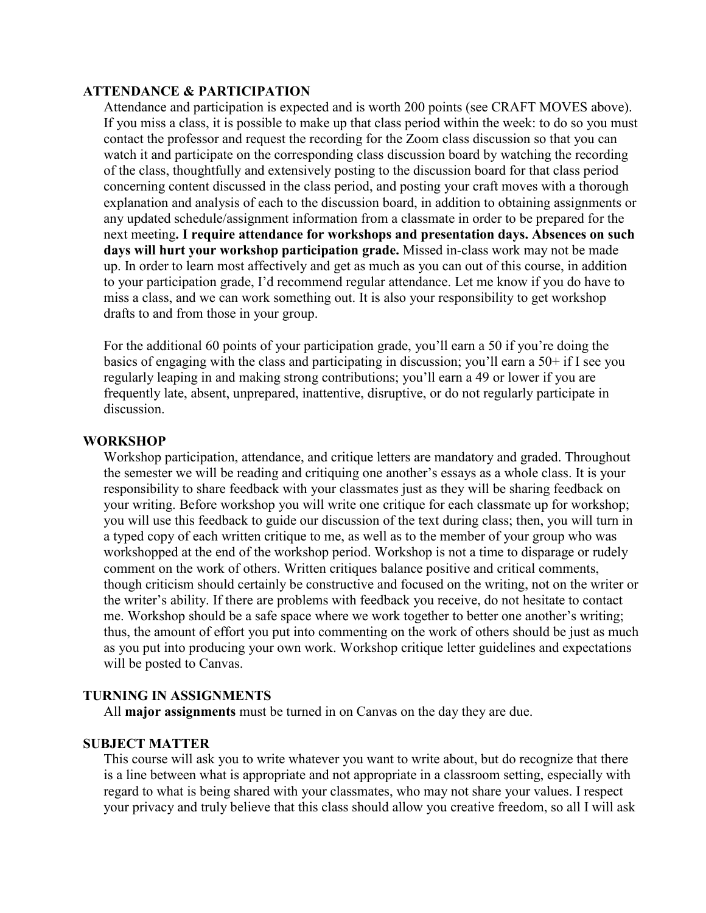#### **ATTENDANCE & PARTICIPATION**

Attendance and participation is expected and is worth 200 points (see CRAFT MOVES above). If you miss a class, it is possible to make up that class period within the week: to do so you must contact the professor and request the recording for the Zoom class discussion so that you can watch it and participate on the corresponding class discussion board by watching the recording of the class, thoughtfully and extensively posting to the discussion board for that class period concerning content discussed in the class period, and posting your craft moves with a thorough explanation and analysis of each to the discussion board, in addition to obtaining assignments or any updated schedule/assignment information from a classmate in order to be prepared for the next meeting**. I require attendance for workshops and presentation days. Absences on such days will hurt your workshop participation grade.** Missed in-class work may not be made up. In order to learn most affectively and get as much as you can out of this course, in addition to your participation grade, I'd recommend regular attendance. Let me know if you do have to miss a class, and we can work something out. It is also your responsibility to get workshop drafts to and from those in your group.

For the additional 60 points of your participation grade, you'll earn a 50 if you're doing the basics of engaging with the class and participating in discussion; you'll earn a 50+ if I see you regularly leaping in and making strong contributions; you'll earn a 49 or lower if you are frequently late, absent, unprepared, inattentive, disruptive, or do not regularly participate in discussion.

#### **WORKSHOP**

Workshop participation, attendance, and critique letters are mandatory and graded. Throughout the semester we will be reading and critiquing one another's essays as a whole class. It is your responsibility to share feedback with your classmates just as they will be sharing feedback on your writing. Before workshop you will write one critique for each classmate up for workshop; you will use this feedback to guide our discussion of the text during class; then, you will turn in a typed copy of each written critique to me, as well as to the member of your group who was workshopped at the end of the workshop period. Workshop is not a time to disparage or rudely comment on the work of others. Written critiques balance positive and critical comments, though criticism should certainly be constructive and focused on the writing, not on the writer or the writer's ability. If there are problems with feedback you receive, do not hesitate to contact me. Workshop should be a safe space where we work together to better one another's writing; thus, the amount of effort you put into commenting on the work of others should be just as much as you put into producing your own work. Workshop critique letter guidelines and expectations will be posted to Canvas.

#### **TURNING IN ASSIGNMENTS**

All **major assignments** must be turned in on Canvas on the day they are due.

#### **SUBJECT MATTER**

This course will ask you to write whatever you want to write about, but do recognize that there is a line between what is appropriate and not appropriate in a classroom setting, especially with regard to what is being shared with your classmates, who may not share your values. I respect your privacy and truly believe that this class should allow you creative freedom, so all I will ask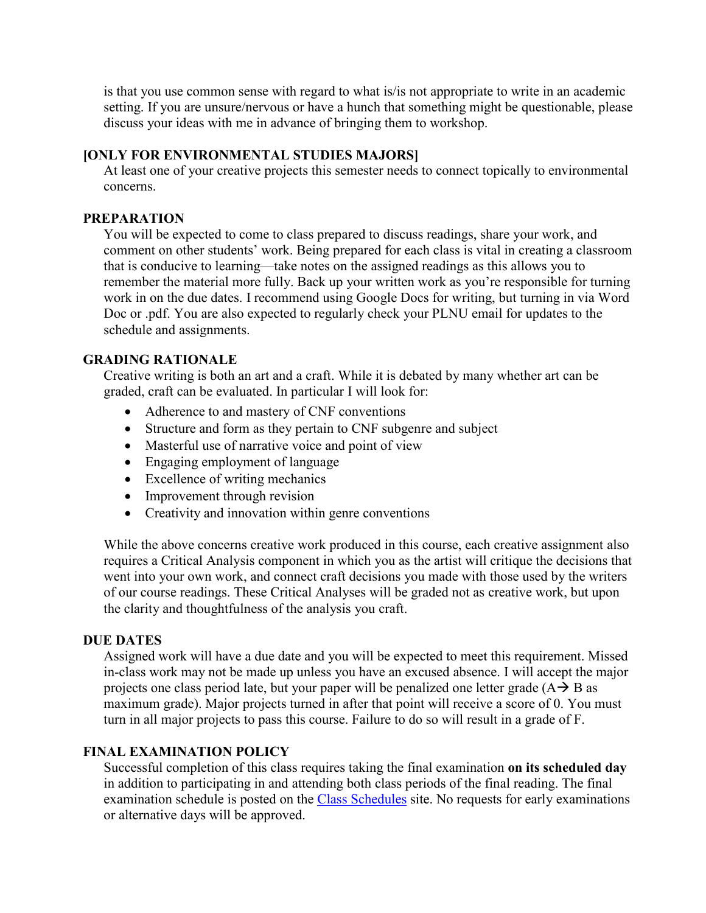is that you use common sense with regard to what is/is not appropriate to write in an academic setting. If you are unsure/nervous or have a hunch that something might be questionable, please discuss your ideas with me in advance of bringing them to workshop.

#### **[ONLY FOR ENVIRONMENTAL STUDIES MAJORS]**

At least one of your creative projects this semester needs to connect topically to environmental concerns.

#### **PREPARATION**

You will be expected to come to class prepared to discuss readings, share your work, and comment on other students' work. Being prepared for each class is vital in creating a classroom that is conducive to learning—take notes on the assigned readings as this allows you to remember the material more fully. Back up your written work as you're responsible for turning work in on the due dates. I recommend using Google Docs for writing, but turning in via Word Doc or .pdf. You are also expected to regularly check your PLNU email for updates to the schedule and assignments.

#### **GRADING RATIONALE**

Creative writing is both an art and a craft. While it is debated by many whether art can be graded, craft can be evaluated. In particular I will look for:

- Adherence to and mastery of CNF conventions
- Structure and form as they pertain to CNF subgenre and subject
- Masterful use of narrative voice and point of view
- Engaging employment of language
- Excellence of writing mechanics
- Improvement through revision
- Creativity and innovation within genre conventions

While the above concerns creative work produced in this course, each creative assignment also requires a Critical Analysis component in which you as the artist will critique the decisions that went into your own work, and connect craft decisions you made with those used by the writers of our course readings. These Critical Analyses will be graded not as creative work, but upon the clarity and thoughtfulness of the analysis you craft.

#### **DUE DATES**

Assigned work will have a due date and you will be expected to meet this requirement. Missed in-class work may not be made up unless you have an excused absence. I will accept the major projects one class period late, but your paper will be penalized one letter grade  $(A \rightarrow B$  as maximum grade). Major projects turned in after that point will receive a score of 0. You must turn in all major projects to pass this course. Failure to do so will result in a grade of F.

#### **FINAL EXAMINATION POLICY**

Successful completion of this class requires taking the final examination **on its scheduled day** in addition to participating in and attending both class periods of the final reading. The final examination schedule is posted on the [Class Schedules](http://www.pointloma.edu/experience/academics/class-schedules) site. No requests for early examinations or alternative days will be approved.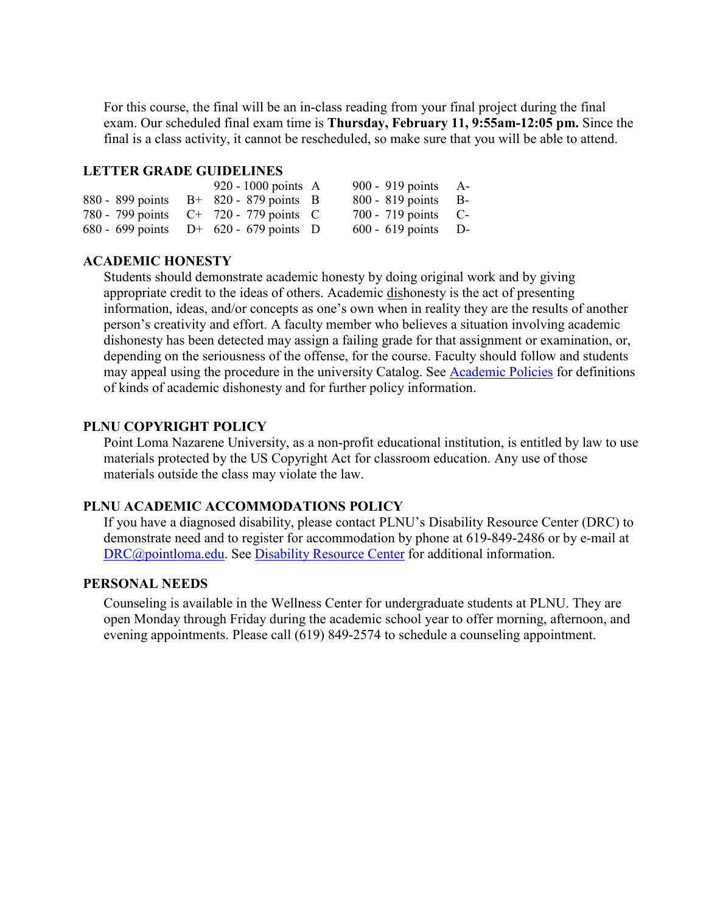For this course, the final will be an in-class reading from your final project during the final exam. Our scheduled final exam time is **Thursday, February 11, 9:55am-12:05 pm.** Since the final is a class activity, it cannot be rescheduled, so make sure that you will be able to attend.

#### **LETTER GRADE GUIDELINES**

|  | 920 - 1000 points $\overline{A}$          | 900 - 919 points A-   |  |
|--|-------------------------------------------|-----------------------|--|
|  | 880 - 899 points $B+820-879$ points B     | 800 - 819 points B-   |  |
|  | 780 - 799 points C+ 720 - 779 points C    | 700 - 719 points $C-$ |  |
|  | 680 - 699 points $D^+$ 620 - 679 points D | $600 - 619$ points D- |  |

#### **ACADEMIC HONESTY**

Students should demonstrate academic honesty by doing original work and by giving appropriate credit to the ideas of others. Academic dishonesty is the act of presenting information, ideas, and/or concepts as one's own when in reality they are the results of another person's creativity and effort. A faculty member who believes a situation involving academic dishonesty has been detected may assign a failing grade for that assignment or examination, or, depending on the seriousness of the offense, for the course. Faculty should follow and students may appeal using the procedure in the university Catalog. See [Academic Policies](http://catalog.pointloma.edu/content.php?catoid=18&navoid=1278) for definitions of kinds of academic dishonesty and for further policy information.

#### **PLNU COPYRIGHT POLICY**

Point Loma Nazarene University, as a non-profit educational institution, is entitled by law to use materials protected by the US Copyright Act for classroom education. Any use of those materials outside the class may violate the law.

#### **PLNU ACADEMIC ACCOMMODATIONS POLICY**

If you have a diagnosed disability, please contact PLNU's Disability Resource Center (DRC) to demonstrate need and to register for accommodation by phone at 619-849-2486 or by e-mail at [DRC@pointloma.edu.](mailto:DRC@pointloma.edu) See [Disability Resource Center](http://www.pointloma.edu/experience/offices/administrative-offices/academic-advising-office/disability-resource-center) for additional information.

#### **PERSONAL NEEDS**

Counseling is available in the Wellness Center for undergraduate students at PLNU. They are open Monday through Friday during the academic school year to offer morning, afternoon, and evening appointments. Please call (619) 849-2574 to schedule a counseling appointment.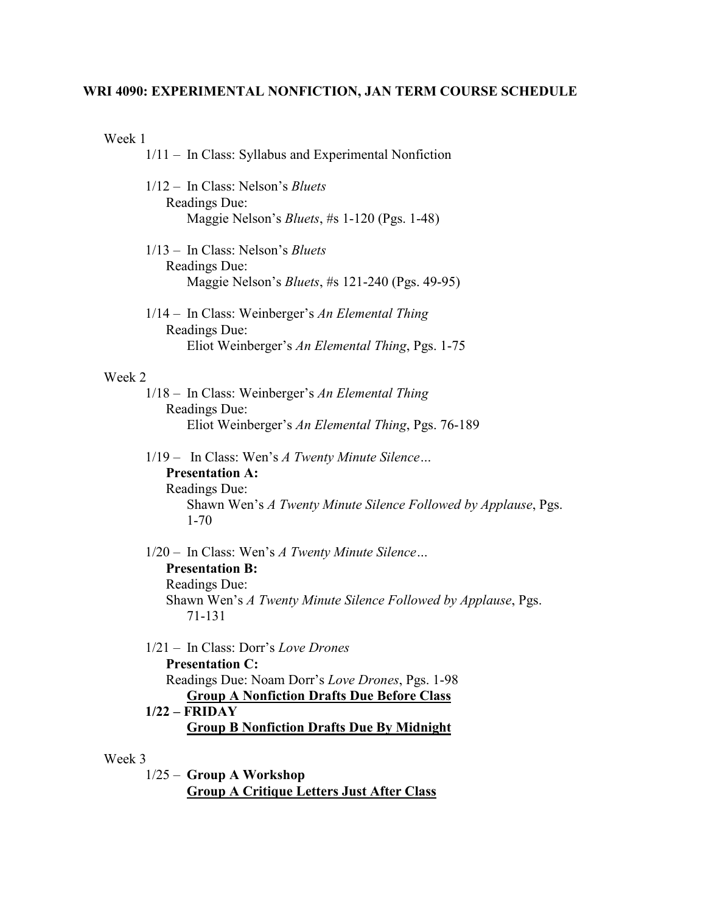# **WRI 4090: EXPERIMENTAL NONFICTION, JAN TERM COURSE SCHEDULE**

Week 1

| 1/11 - In Class: Syllabus and Experimental Nonfiction                                                                                                                                                                                           |
|-------------------------------------------------------------------------------------------------------------------------------------------------------------------------------------------------------------------------------------------------|
| $1/12$ – In Class: Nelson's <i>Bluets</i><br>Readings Due:<br>Maggie Nelson's Bluets, #s 1-120 (Pgs. 1-48)                                                                                                                                      |
| $1/13$ – In Class: Nelson's <i>Bluets</i><br>Readings Due:<br>Maggie Nelson's <i>Bluets</i> , #s 121-240 (Pgs. 49-95)                                                                                                                           |
| 1/14 - In Class: Weinberger's An Elemental Thing<br>Readings Due:<br>Eliot Weinberger's An Elemental Thing, Pgs. 1-75                                                                                                                           |
| Week 2                                                                                                                                                                                                                                          |
| 1/18 - In Class: Weinberger's An Elemental Thing<br><b>Readings Due:</b>                                                                                                                                                                        |
| Eliot Weinberger's An Elemental Thing, Pgs. 76-189                                                                                                                                                                                              |
| 1/19 - In Class: Wen's A Twenty Minute Silence<br><b>Presentation A:</b><br><b>Readings Due:</b><br>Shawn Wen's A Twenty Minute Silence Followed by Applause, Pgs.<br>$1 - 70$                                                                  |
| 1/20 - In Class: Wen's A Twenty Minute Silence<br><b>Presentation B:</b><br><b>Readings Due:</b><br>Shawn Wen's A Twenty Minute Silence Followed by Applause, Pgs.<br>71-131                                                                    |
| $1/21$ – In Class: Dorr's Love Drones<br><b>Presentation C:</b><br>Readings Due: Noam Dorr's Love Drones, Pgs. 1-98<br><b>Group A Nonfiction Drafts Due Before Class</b><br>$1/22 - FRIDAY$<br><b>Group B Nonfiction Drafts Due By Midnight</b> |
| Week 3<br>1/25 - Group A Workshop<br><b>Group A Critique Letters Just After Class</b>                                                                                                                                                           |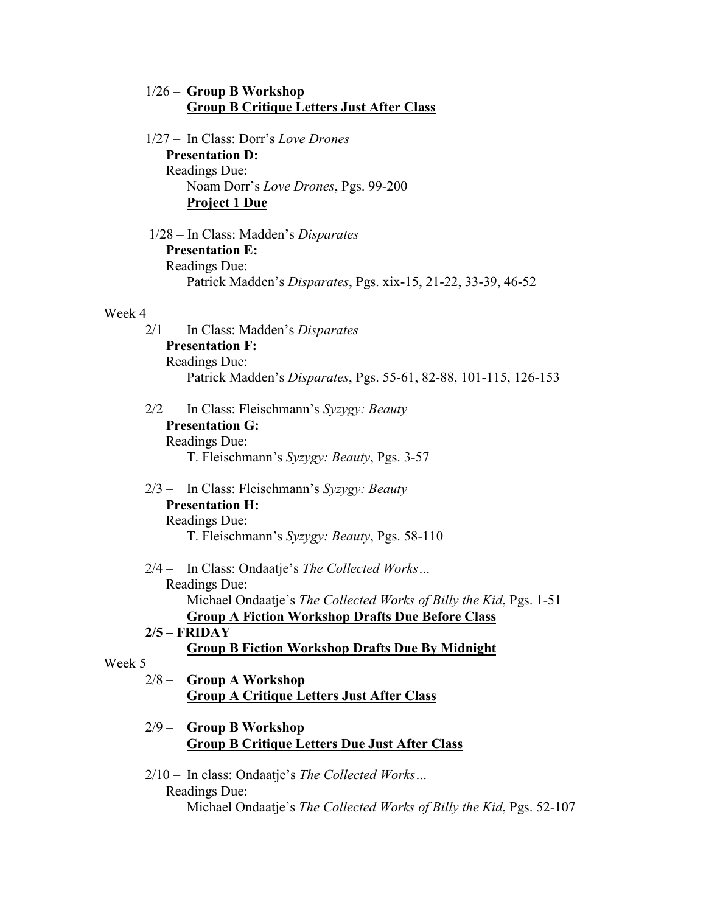#### 1/26 – **Group B Workshop Group B Critique Letters Just After Class**

1/27 – In Class: Dorr's *Love Drones* **Presentation D:**  Readings Due: Noam Dorr's *Love Drones*, Pgs. 99-200 **Project 1 Due**

1/28 – In Class: Madden's *Disparates* **Presentation E:**  Readings Due: Patrick Madden's *Disparates*, Pgs. xix-15, 21-22, 33-39, 46-52

#### Week 4

- 2/1 In Class: Madden's *Disparates* **Presentation F:**  Readings Due: Patrick Madden's *Disparates*, Pgs. 55-61, 82-88, 101-115, 126-153
- 2/2 In Class: Fleischmann's *Syzygy: Beauty* **Presentation G:**  Readings Due: T. Fleischmann's *Syzygy: Beauty*, Pgs. 3-57
- 2/3 In Class: Fleischmann's *Syzygy: Beauty* **Presentation H:**  Readings Due: T. Fleischmann's *Syzygy: Beauty*, Pgs. 58-110
- 2/4 In Class: Ondaatje's *The Collected Works…* Readings Due: Michael Ondaatje's *The Collected Works of Billy the Kid*, Pgs. 1-51 **Group A Fiction Workshop Drafts Due Before Class**

# **2/5 – FRIDAY**

#### **Group B Fiction Workshop Drafts Due By Midnight**

#### Week 5

- 2/8 **Group A Workshop Group A Critique Letters Just After Class**
- 2/9 **Group B Workshop Group B Critique Letters Due Just After Class**
- 2/10 In class: Ondaatje's *The Collected Works…* Readings Due: Michael Ondaatje's *The Collected Works of Billy the Kid*, Pgs. 52-107